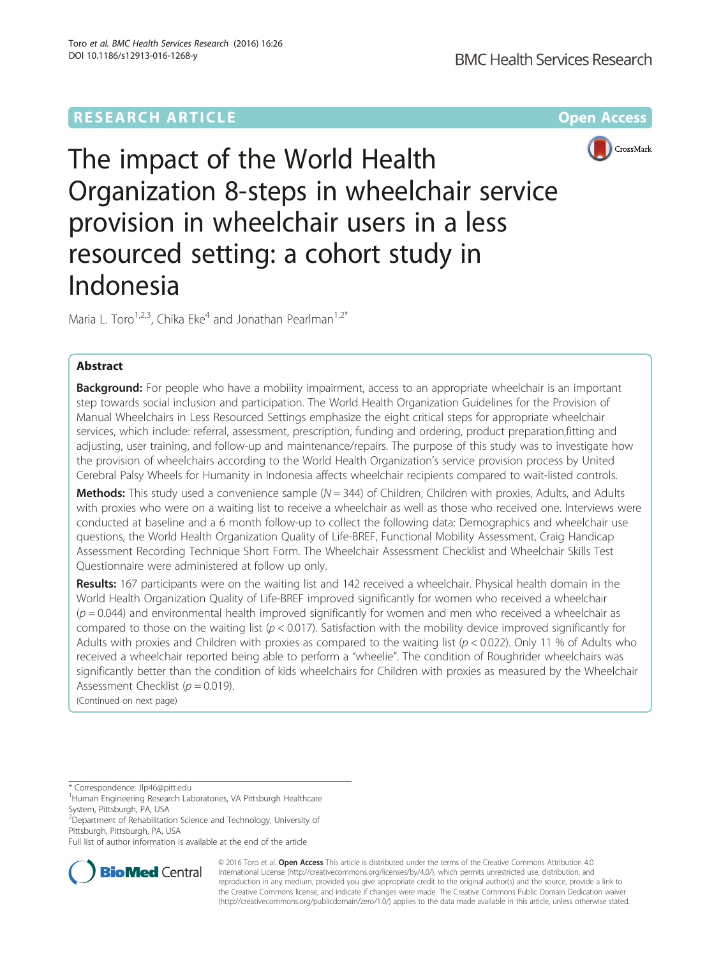# **RESEARCH ARTICLE Example 2014 12:30 The Community Community Community Community Community Community Community**



The impact of the World Health Organization 8-steps in wheelchair service provision in wheelchair users in a less resourced setting: a cohort study in Indonesia

Maria L. Toro<sup>1,2,3</sup>, Chika Eke<sup>4</sup> and Jonathan Pearlman<sup>1,2\*</sup>

# Abstract

**Background:** For people who have a mobility impairment, access to an appropriate wheelchair is an important step towards social inclusion and participation. The World Health Organization Guidelines for the Provision of Manual Wheelchairs in Less Resourced Settings emphasize the eight critical steps for appropriate wheelchair services, which include: referral, assessment, prescription, funding and ordering, product preparation,fitting and adjusting, user training, and follow-up and maintenance/repairs. The purpose of this study was to investigate how the provision of wheelchairs according to the World Health Organization's service provision process by United Cerebral Palsy Wheels for Humanity in Indonesia affects wheelchair recipients compared to wait-listed controls.

**Methods:** This study used a convenience sample  $(N = 344)$  of Children, Children with proxies, Adults, and Adults with proxies who were on a waiting list to receive a wheelchair as well as those who received one. Interviews were conducted at baseline and a 6 month follow-up to collect the following data: Demographics and wheelchair use questions, the World Health Organization Quality of Life-BREF, Functional Mobility Assessment, Craig Handicap Assessment Recording Technique Short Form. The Wheelchair Assessment Checklist and Wheelchair Skills Test Questionnaire were administered at follow up only.

Results: 167 participants were on the waiting list and 142 received a wheelchair. Physical health domain in the World Health Organization Quality of Life-BREF improved significantly for women who received a wheelchair  $(p = 0.044)$  and environmental health improved significantly for women and men who received a wheelchair as compared to those on the waiting list ( $p < 0.017$ ). Satisfaction with the mobility device improved significantly for Adults with proxies and Children with proxies as compared to the waiting list ( $p < 0.022$ ). Only 11 % of Adults who received a wheelchair reported being able to perform a "wheelie". The condition of Roughrider wheelchairs was significantly better than the condition of kids wheelchairs for Children with proxies as measured by the Wheelchair Assessment Checklist ( $p = 0.019$ ).

(Continued on next page)

\* Correspondence: [Jlp46@pitt.edu](mailto:Jlp46@pitt.edu) <sup>1</sup>

Full list of author information is available at the end of the article



© 2016 Toro et al. Open Access This article is distributed under the terms of the Creative Commons Attribution 4.0 International License [\(http://creativecommons.org/licenses/by/4.0/](http://creativecommons.org/licenses/by/4.0/)), which permits unrestricted use, distribution, and reproduction in any medium, provided you give appropriate credit to the original author(s) and the source, provide a link to the Creative Commons license, and indicate if changes were made. The Creative Commons Public Domain Dedication waiver [\(http://creativecommons.org/publicdomain/zero/1.0/](http://creativecommons.org/publicdomain/zero/1.0/)) applies to the data made available in this article, unless otherwise stated.

<sup>&</sup>lt;sup>1</sup>Human Engineering Research Laboratories, VA Pittsburgh Healthcare System, Pittsburgh, PA, USA

<sup>&</sup>lt;sup>2</sup>Department of Rehabilitation Science and Technology, University of Pittsburgh, Pittsburgh, PA, USA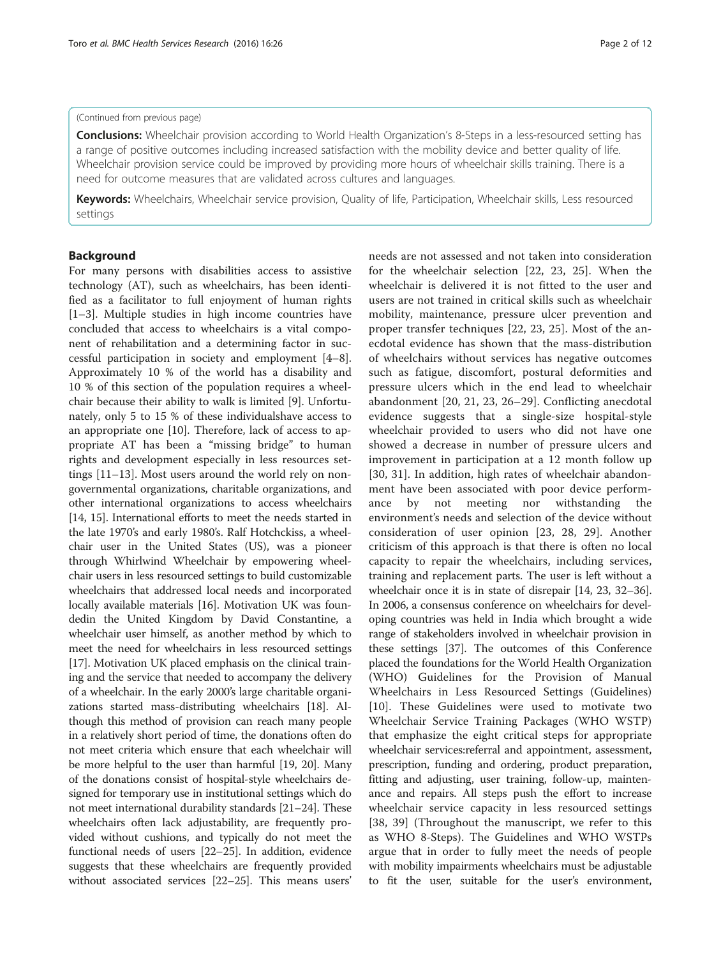#### (Continued from previous page)

**Conclusions:** Wheelchair provision according to World Health Organization's 8-Steps in a less-resourced setting has a range of positive outcomes including increased satisfaction with the mobility device and better quality of life. Wheelchair provision service could be improved by providing more hours of wheelchair skills training. There is a need for outcome measures that are validated across cultures and languages.

Keywords: Wheelchairs, Wheelchair service provision, Quality of life, Participation, Wheelchair skills, Less resourced settings

## Background

For many persons with disabilities access to assistive technology (AT), such as wheelchairs, has been identified as a facilitator to full enjoyment of human rights [[1](#page-9-0)–[3\]](#page-9-0). Multiple studies in high income countries have concluded that access to wheelchairs is a vital component of rehabilitation and a determining factor in successful participation in society and employment [\[4](#page-9-0)–[8](#page-9-0)]. Approximately 10 % of the world has a disability and 10 % of this section of the population requires a wheelchair because their ability to walk is limited [\[9\]](#page-9-0). Unfortunately, only 5 to 15 % of these individualshave access to an appropriate one [[10\]](#page-9-0). Therefore, lack of access to appropriate AT has been a "missing bridge" to human rights and development especially in less resources settings [[11](#page-9-0)–[13](#page-9-0)]. Most users around the world rely on nongovernmental organizations, charitable organizations, and other international organizations to access wheelchairs [[14](#page-10-0), [15](#page-10-0)]. International efforts to meet the needs started in the late 1970's and early 1980's. Ralf Hotchckiss, a wheelchair user in the United States (US), was a pioneer through Whirlwind Wheelchair by empowering wheelchair users in less resourced settings to build customizable wheelchairs that addressed local needs and incorporated locally available materials [\[16](#page-10-0)]. Motivation UK was foundedin the United Kingdom by David Constantine, a wheelchair user himself, as another method by which to meet the need for wheelchairs in less resourced settings [[17](#page-10-0)]. Motivation UK placed emphasis on the clinical training and the service that needed to accompany the delivery of a wheelchair. In the early 2000's large charitable organizations started mass-distributing wheelchairs [[18](#page-10-0)]. Although this method of provision can reach many people in a relatively short period of time, the donations often do not meet criteria which ensure that each wheelchair will be more helpful to the user than harmful [[19](#page-10-0), [20\]](#page-10-0). Many of the donations consist of hospital-style wheelchairs designed for temporary use in institutional settings which do not meet international durability standards [[21](#page-10-0)–[24\]](#page-10-0). These wheelchairs often lack adjustability, are frequently provided without cushions, and typically do not meet the functional needs of users [[22](#page-10-0)–[25\]](#page-10-0). In addition, evidence suggests that these wheelchairs are frequently provided without associated services [\[22](#page-10-0)–[25](#page-10-0)]. This means users'

needs are not assessed and not taken into consideration for the wheelchair selection [\[22](#page-10-0), [23](#page-10-0), [25](#page-10-0)]. When the wheelchair is delivered it is not fitted to the user and users are not trained in critical skills such as wheelchair mobility, maintenance, pressure ulcer prevention and proper transfer techniques [[22, 23](#page-10-0), [25\]](#page-10-0). Most of the anecdotal evidence has shown that the mass-distribution of wheelchairs without services has negative outcomes such as fatigue, discomfort, postural deformities and pressure ulcers which in the end lead to wheelchair abandonment [\[20](#page-10-0), [21, 23](#page-10-0), [26](#page-10-0)–[29\]](#page-10-0). Conflicting anecdotal evidence suggests that a single-size hospital-style wheelchair provided to users who did not have one showed a decrease in number of pressure ulcers and improvement in participation at a 12 month follow up [[30, 31\]](#page-10-0). In addition, high rates of wheelchair abandonment have been associated with poor device performance by not meeting nor withstanding the environment's needs and selection of the device without consideration of user opinion [[23, 28](#page-10-0), [29](#page-10-0)]. Another criticism of this approach is that there is often no local capacity to repair the wheelchairs, including services, training and replacement parts. The user is left without a wheelchair once it is in state of disrepair [\[14, 23, 32](#page-10-0)–[36](#page-10-0)]. In 2006, a consensus conference on wheelchairs for developing countries was held in India which brought a wide range of stakeholders involved in wheelchair provision in these settings [[37](#page-10-0)]. The outcomes of this Conference placed the foundations for the World Health Organization (WHO) Guidelines for the Provision of Manual Wheelchairs in Less Resourced Settings (Guidelines) [[10\]](#page-9-0). These Guidelines were used to motivate two Wheelchair Service Training Packages (WHO WSTP) that emphasize the eight critical steps for appropriate wheelchair services:referral and appointment, assessment, prescription, funding and ordering, product preparation, fitting and adjusting, user training, follow-up, maintenance and repairs. All steps push the effort to increase wheelchair service capacity in less resourced settings [[38, 39](#page-10-0)] (Throughout the manuscript, we refer to this as WHO 8-Steps). The Guidelines and WHO WSTPs argue that in order to fully meet the needs of people with mobility impairments wheelchairs must be adjustable to fit the user, suitable for the user's environment,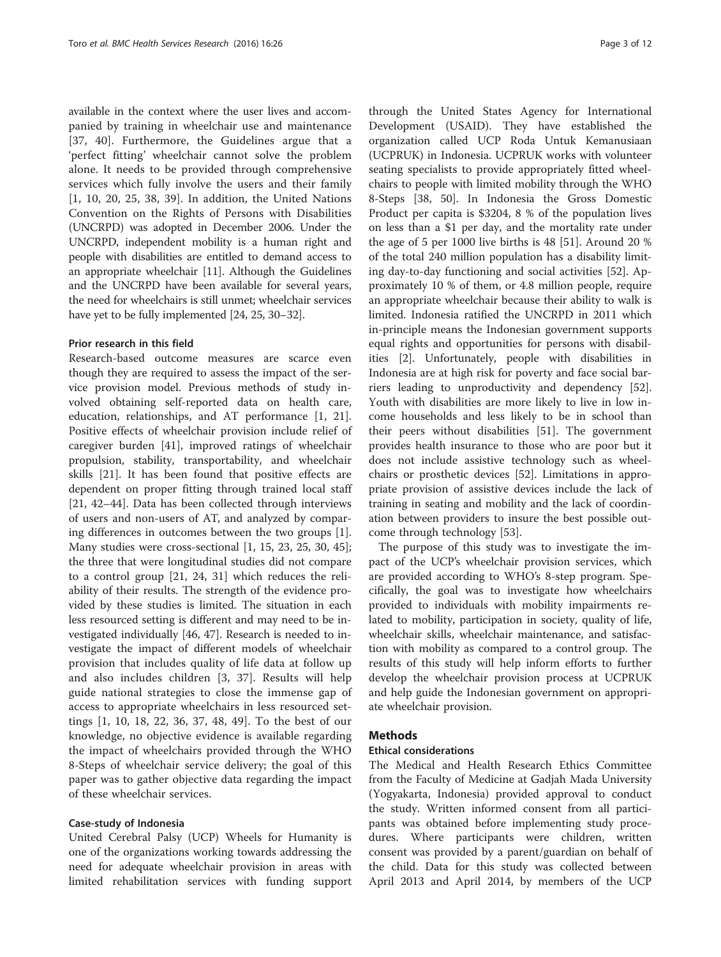available in the context where the user lives and accompanied by training in wheelchair use and maintenance [[37, 40\]](#page-10-0). Furthermore, the Guidelines argue that a 'perfect fitting' wheelchair cannot solve the problem alone. It needs to be provided through comprehensive services which fully involve the users and their family [[1, 10](#page-9-0), [20](#page-10-0), [25](#page-10-0), [38, 39\]](#page-10-0). In addition, the United Nations Convention on the Rights of Persons with Disabilities (UNCRPD) was adopted in December 2006. Under the UNCRPD, independent mobility is a human right and people with disabilities are entitled to demand access to an appropriate wheelchair [[11](#page-9-0)]. Although the Guidelines and the UNCRPD have been available for several years, the need for wheelchairs is still unmet; wheelchair services have yet to be fully implemented [[24, 25, 30](#page-10-0)–[32\]](#page-10-0).

#### Prior research in this field

Research-based outcome measures are scarce even though they are required to assess the impact of the service provision model. Previous methods of study involved obtaining self-reported data on health care, education, relationships, and AT performance [[1,](#page-9-0) [21](#page-10-0)]. Positive effects of wheelchair provision include relief of caregiver burden [\[41\]](#page-10-0), improved ratings of wheelchair propulsion, stability, transportability, and wheelchair skills [\[21\]](#page-10-0). It has been found that positive effects are dependent on proper fitting through trained local staff [[21, 42](#page-10-0)–[44](#page-10-0)]. Data has been collected through interviews of users and non-users of AT, and analyzed by comparing differences in outcomes between the two groups [\[1](#page-9-0)]. Many studies were cross-sectional [\[1](#page-9-0), [15](#page-10-0), [23, 25, 30](#page-10-0), [45](#page-10-0)]; the three that were longitudinal studies did not compare to a control group [[21, 24, 31](#page-10-0)] which reduces the reliability of their results. The strength of the evidence provided by these studies is limited. The situation in each less resourced setting is different and may need to be investigated individually [[46](#page-10-0), [47](#page-10-0)]. Research is needed to investigate the impact of different models of wheelchair provision that includes quality of life data at follow up and also includes children [[3,](#page-9-0) [37\]](#page-10-0). Results will help guide national strategies to close the immense gap of access to appropriate wheelchairs in less resourced settings [[1, 10,](#page-9-0) [18](#page-10-0), [22](#page-10-0), [36](#page-10-0), [37](#page-10-0), [48](#page-10-0), [49](#page-10-0)]. To the best of our knowledge, no objective evidence is available regarding the impact of wheelchairs provided through the WHO 8-Steps of wheelchair service delivery; the goal of this paper was to gather objective data regarding the impact of these wheelchair services.

## Case-study of Indonesia

United Cerebral Palsy (UCP) Wheels for Humanity is one of the organizations working towards addressing the need for adequate wheelchair provision in areas with limited rehabilitation services with funding support

through the United States Agency for International Development (USAID). They have established the organization called UCP Roda Untuk Kemanusiaan (UCPRUK) in Indonesia. UCPRUK works with volunteer seating specialists to provide appropriately fitted wheelchairs to people with limited mobility through the WHO 8-Steps [[38, 50\]](#page-10-0). In Indonesia the Gross Domestic Product per capita is \$3204, 8 % of the population lives on less than a \$1 per day, and the mortality rate under the age of 5 per 1000 live births is 48 [[51](#page-10-0)]. Around 20 % of the total 240 million population has a disability limiting day-to-day functioning and social activities [\[52](#page-10-0)]. Approximately 10 % of them, or 4.8 million people, require an appropriate wheelchair because their ability to walk is limited. Indonesia ratified the UNCRPD in 2011 which in-principle means the Indonesian government supports equal rights and opportunities for persons with disabilities [[2](#page-9-0)]. Unfortunately, people with disabilities in Indonesia are at high risk for poverty and face social barriers leading to unproductivity and dependency [\[52](#page-10-0)]. Youth with disabilities are more likely to live in low income households and less likely to be in school than their peers without disabilities [\[51](#page-10-0)]. The government provides health insurance to those who are poor but it does not include assistive technology such as wheelchairs or prosthetic devices [[52](#page-10-0)]. Limitations in appropriate provision of assistive devices include the lack of training in seating and mobility and the lack of coordination between providers to insure the best possible outcome through technology [\[53\]](#page-10-0).

The purpose of this study was to investigate the impact of the UCP's wheelchair provision services, which are provided according to WHO's 8-step program. Specifically, the goal was to investigate how wheelchairs provided to individuals with mobility impairments related to mobility, participation in society, quality of life, wheelchair skills, wheelchair maintenance, and satisfaction with mobility as compared to a control group. The results of this study will help inform efforts to further develop the wheelchair provision process at UCPRUK and help guide the Indonesian government on appropriate wheelchair provision.

#### Methods

#### Ethical considerations

The Medical and Health Research Ethics Committee from the Faculty of Medicine at Gadjah Mada University (Yogyakarta, Indonesia) provided approval to conduct the study. Written informed consent from all participants was obtained before implementing study procedures. Where participants were children, written consent was provided by a parent/guardian on behalf of the child. Data for this study was collected between April 2013 and April 2014, by members of the UCP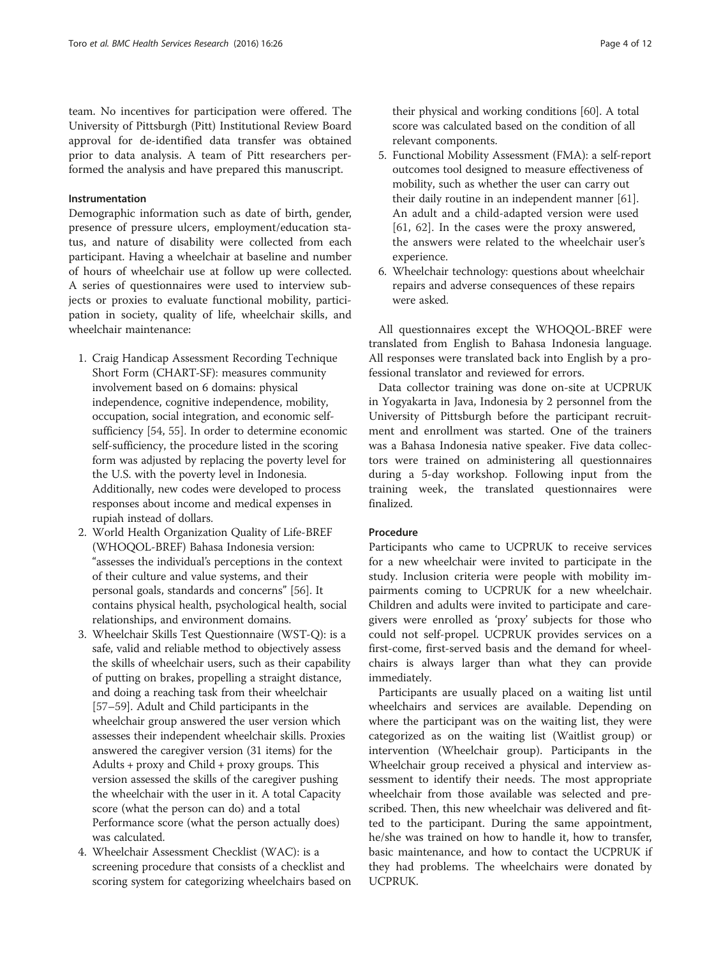team. No incentives for participation were offered. The University of Pittsburgh (Pitt) Institutional Review Board approval for de-identified data transfer was obtained prior to data analysis. A team of Pitt researchers performed the analysis and have prepared this manuscript.

## Instrumentation

Demographic information such as date of birth, gender, presence of pressure ulcers, employment/education status, and nature of disability were collected from each participant. Having a wheelchair at baseline and number of hours of wheelchair use at follow up were collected. A series of questionnaires were used to interview subjects or proxies to evaluate functional mobility, participation in society, quality of life, wheelchair skills, and wheelchair maintenance:

- 1. Craig Handicap Assessment Recording Technique Short Form (CHART-SF): measures community involvement based on 6 domains: physical independence, cognitive independence, mobility, occupation, social integration, and economic selfsufficiency [[54](#page-10-0), [55\]](#page-10-0). In order to determine economic self-sufficiency, the procedure listed in the scoring form was adjusted by replacing the poverty level for the U.S. with the poverty level in Indonesia. Additionally, new codes were developed to process responses about income and medical expenses in rupiah instead of dollars.
- 2. World Health Organization Quality of Life-BREF (WHOQOL-BREF) Bahasa Indonesia version: "assesses the individual's perceptions in the context of their culture and value systems, and their personal goals, standards and concerns" [[56\]](#page-10-0). It contains physical health, psychological health, social relationships, and environment domains.
- 3. Wheelchair Skills Test Questionnaire (WST-Q): is a safe, valid and reliable method to objectively assess the skills of wheelchair users, such as their capability of putting on brakes, propelling a straight distance, and doing a reaching task from their wheelchair [\[57](#page-10-0)–[59\]](#page-10-0). Adult and Child participants in the wheelchair group answered the user version which assesses their independent wheelchair skills. Proxies answered the caregiver version (31 items) for the Adults + proxy and Child + proxy groups. This version assessed the skills of the caregiver pushing the wheelchair with the user in it. A total Capacity score (what the person can do) and a total Performance score (what the person actually does) was calculated.
- 4. Wheelchair Assessment Checklist (WAC): is a screening procedure that consists of a checklist and scoring system for categorizing wheelchairs based on

their physical and working conditions [[60](#page-10-0)]. A total score was calculated based on the condition of all relevant components.

- 5. Functional Mobility Assessment (FMA): a self-report outcomes tool designed to measure effectiveness of mobility, such as whether the user can carry out their daily routine in an independent manner [\[61\]](#page-11-0). An adult and a child-adapted version were used [[61](#page-11-0), [62](#page-11-0)]. In the cases were the proxy answered, the answers were related to the wheelchair user's experience.
- 6. Wheelchair technology: questions about wheelchair repairs and adverse consequences of these repairs were asked.

All questionnaires except the WHOQOL-BREF were translated from English to Bahasa Indonesia language. All responses were translated back into English by a professional translator and reviewed for errors.

Data collector training was done on-site at UCPRUK in Yogyakarta in Java, Indonesia by 2 personnel from the University of Pittsburgh before the participant recruitment and enrollment was started. One of the trainers was a Bahasa Indonesia native speaker. Five data collectors were trained on administering all questionnaires during a 5-day workshop. Following input from the training week, the translated questionnaires were finalized.

## Procedure

Participants who came to UCPRUK to receive services for a new wheelchair were invited to participate in the study. Inclusion criteria were people with mobility impairments coming to UCPRUK for a new wheelchair. Children and adults were invited to participate and caregivers were enrolled as 'proxy' subjects for those who could not self-propel. UCPRUK provides services on a first-come, first-served basis and the demand for wheelchairs is always larger than what they can provide immediately.

Participants are usually placed on a waiting list until wheelchairs and services are available. Depending on where the participant was on the waiting list, they were categorized as on the waiting list (Waitlist group) or intervention (Wheelchair group). Participants in the Wheelchair group received a physical and interview assessment to identify their needs. The most appropriate wheelchair from those available was selected and prescribed. Then, this new wheelchair was delivered and fitted to the participant. During the same appointment, he/she was trained on how to handle it, how to transfer, basic maintenance, and how to contact the UCPRUK if they had problems. The wheelchairs were donated by UCPRUK.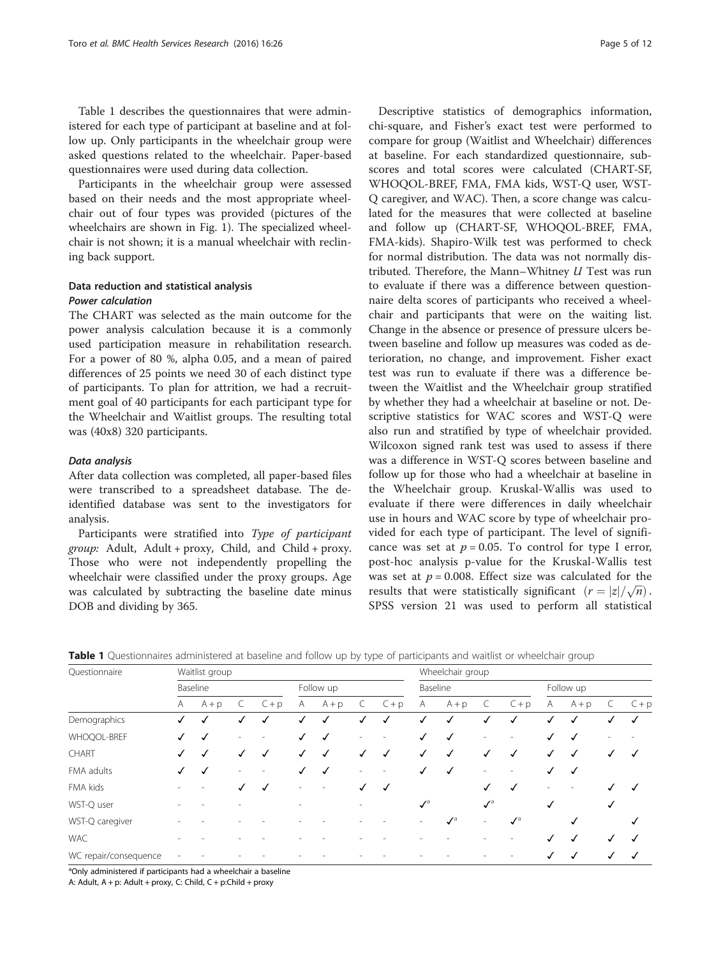Table 1 describes the questionnaires that were administered for each type of participant at baseline and at follow up. Only participants in the wheelchair group were asked questions related to the wheelchair. Paper-based questionnaires were used during data collection.

Participants in the wheelchair group were assessed based on their needs and the most appropriate wheelchair out of four types was provided (pictures of the wheelchairs are shown in Fig. [1\)](#page-5-0). The specialized wheelchair is not shown; it is a manual wheelchair with reclining back support.

## Data reduction and statistical analysis Power calculation

The CHART was selected as the main outcome for the power analysis calculation because it is a commonly used participation measure in rehabilitation research. For a power of 80 %, alpha 0.05, and a mean of paired differences of 25 points we need 30 of each distinct type of participants. To plan for attrition, we had a recruitment goal of 40 participants for each participant type for the Wheelchair and Waitlist groups. The resulting total was (40x8) 320 participants.

## Data analysis

After data collection was completed, all paper-based files were transcribed to a spreadsheet database. The deidentified database was sent to the investigators for analysis.

Participants were stratified into Type of participant *group*: Adult, Adult + proxy, Child, and Child + proxy. Those who were not independently propelling the wheelchair were classified under the proxy groups. Age was calculated by subtracting the baseline date minus DOB and dividing by 365.

Descriptive statistics of demographics information, chi-square, and Fisher's exact test were performed to compare for group (Waitlist and Wheelchair) differences at baseline. For each standardized questionnaire, subscores and total scores were calculated (CHART-SF, WHOQOL-BREF, FMA, FMA kids, WST-Q user, WST-Q caregiver, and WAC). Then, a score change was calculated for the measures that were collected at baseline and follow up (CHART-SF, WHOQOL-BREF, FMA, FMA-kids). Shapiro-Wilk test was performed to check for normal distribution. The data was not normally distributed. Therefore, the Mann–Whitney U Test was run to evaluate if there was a difference between questionnaire delta scores of participants who received a wheelchair and participants that were on the waiting list. Change in the absence or presence of pressure ulcers between baseline and follow up measures was coded as deterioration, no change, and improvement. Fisher exact test was run to evaluate if there was a difference between the Waitlist and the Wheelchair group stratified by whether they had a wheelchair at baseline or not. Descriptive statistics for WAC scores and WST-Q were also run and stratified by type of wheelchair provided. Wilcoxon signed rank test was used to assess if there was a difference in WST-Q scores between baseline and follow up for those who had a wheelchair at baseline in the Wheelchair group. Kruskal-Wallis was used to evaluate if there were differences in daily wheelchair use in hours and WAC score by type of wheelchair provided for each type of participant. The level of significance was set at  $p = 0.05$ . To control for type I error, post-hoc analysis p-value for the Kruskal-Wallis test was set at  $p = 0.008$ . Effect size was calculated for the was set at  $p = 0.008$ . Effect size was calculated for the<br>results that were statistically significant  $(r = |z|/\sqrt{n})$ .<br>SDSS version 21 was used to perform all statistical SPSS version 21 was used to perform all statistical

**Table 1** Questionnaires administered at baseline and follow up by type of participants and waitlist or wheelchair group

| Questionnaire         | Waitlist group |          |              |         |   |           |        | Wheelchair group |                           |                            |                            |                 |           |         |   |         |
|-----------------------|----------------|----------|--------------|---------|---|-----------|--------|------------------|---------------------------|----------------------------|----------------------------|-----------------|-----------|---------|---|---------|
|                       |                | Baseline |              |         |   | Follow up |        |                  | Baseline                  |                            |                            |                 | Follow up |         |   |         |
|                       | Α              | $A + p$  | C            | $C + p$ | Α | $A + p$   | C      | $C + p$          | Α                         | $A + p$                    | C                          | $C + p$         | Α         | $A + p$ |   | $C + p$ |
| Demographics          |                | √        |              | √       |   |           |        |                  |                           |                            |                            |                 | ℐ         |         |   |         |
| WHOQOL-BREF           | ✓              | √        |              |         |   |           |        |                  |                           | ✓                          | ٠                          |                 | ✓         | ✓       |   |         |
| CHART                 | √              | √        | $\checkmark$ | √       |   |           | √      | ✓                | $\checkmark$              | ✓                          | $\checkmark$               | √               | ✓         | √       | √ | ✓       |
| FMA adults            | √              | √        |              |         |   |           | $\sim$ |                  |                           |                            |                            |                 | ✓         | √       |   |         |
| FMA kids              |                |          |              | √       |   |           |        | √                |                           |                            | $\checkmark$               | √               |           |         |   |         |
| WST-Q user            |                |          |              |         |   |           |        |                  | $\checkmark$ <sup>a</sup> |                            | $\mathcal{S}^{\mathsf{a}}$ |                 | ✓         |         | √ |         |
| WST-Q caregiver       |                |          |              |         |   |           |        |                  |                           | $\mathcal{S}^{\mathsf{a}}$ | ۰                          | $\mathcal{L}^a$ |           | √       |   | √       |
| <b>WAC</b>            |                |          |              |         |   |           |        |                  |                           |                            |                            |                 | ✓         | √       |   | √       |
| WC repair/consequence |                |          |              |         |   |           |        |                  |                           |                            |                            |                 |           |         |   |         |

<sup>a</sup>Only administered if participants had a wheelchair a baseline

A: Adult, A + p: Adult + proxy, C: Child, C + p:Child + proxy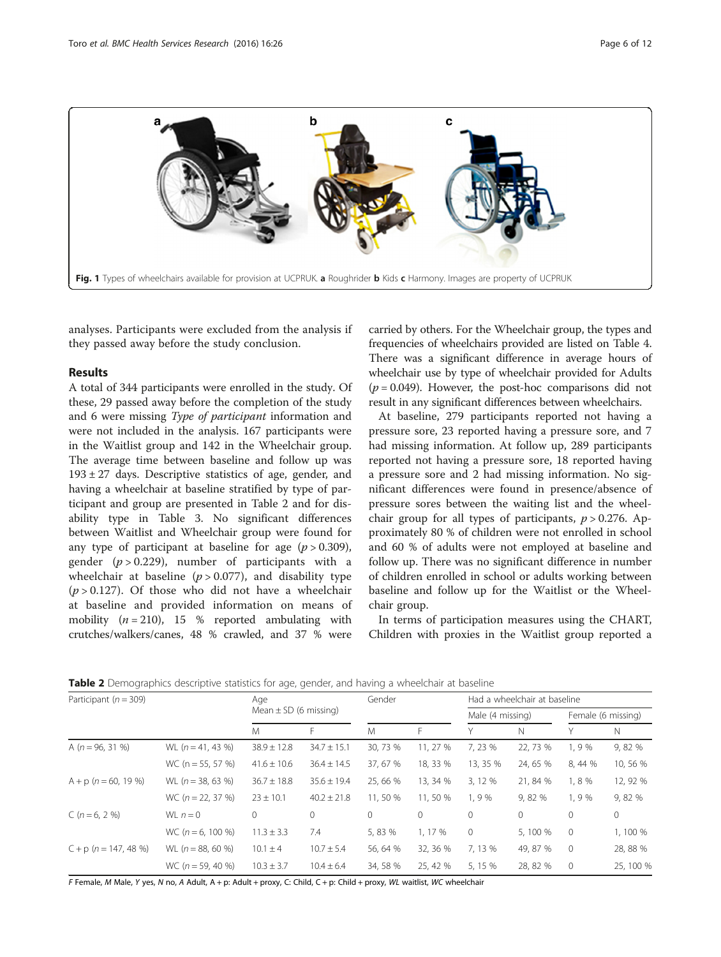<span id="page-5-0"></span>

analyses. Participants were excluded from the analysis if they passed away before the study conclusion.

## Results

A total of 344 participants were enrolled in the study. Of these, 29 passed away before the completion of the study and 6 were missing Type of participant information and were not included in the analysis. 167 participants were in the Waitlist group and 142 in the Wheelchair group. The average time between baseline and follow up was  $193 \pm 27$  days. Descriptive statistics of age, gender, and having a wheelchair at baseline stratified by type of participant and group are presented in Table 2 and for disability type in Table [3.](#page-6-0) No significant differences between Waitlist and Wheelchair group were found for any type of participant at baseline for age  $(p > 0.309)$ , gender  $(p > 0.229)$ , number of participants with a wheelchair at baseline ( $p > 0.077$ ), and disability type  $(p > 0.127)$ . Of those who did not have a wheelchair at baseline and provided information on means of mobility  $(n = 210)$ , 15 % reported ambulating with crutches/walkers/canes, 48 % crawled, and 37 % were

carried by others. For the Wheelchair group, the types and frequencies of wheelchairs provided are listed on Table [4](#page-6-0). There was a significant difference in average hours of wheelchair use by type of wheelchair provided for Adults  $(p = 0.049)$ . However, the post-hoc comparisons did not result in any significant differences between wheelchairs.

At baseline, 279 participants reported not having a pressure sore, 23 reported having a pressure sore, and 7 had missing information. At follow up, 289 participants reported not having a pressure sore, 18 reported having a pressure sore and 2 had missing information. No significant differences were found in presence/absence of pressure sores between the waiting list and the wheelchair group for all types of participants,  $p > 0.276$ . Approximately 80 % of children were not enrolled in school and 60 % of adults were not employed at baseline and follow up. There was no significant difference in number of children enrolled in school or adults working between baseline and follow up for the Waitlist or the Wheelchair group.

In terms of participation measures using the CHART, Children with proxies in the Waitlist group reported a

| Table 2 Demographics descriptive statistics for age, gender, and having a wheelchair at baseline |  |  |  |  |
|--------------------------------------------------------------------------------------------------|--|--|--|--|
|--------------------------------------------------------------------------------------------------|--|--|--|--|

| Participant ( $n = 309$ )  |                       | Age                       |                 | Gender   |              | Had a wheelchair at baseline |          |                    |           |  |
|----------------------------|-----------------------|---------------------------|-----------------|----------|--------------|------------------------------|----------|--------------------|-----------|--|
|                            |                       | Mean $\pm$ SD (6 missing) |                 |          |              | Male (4 missing)             |          | Female (6 missing) |           |  |
|                            |                       | M                         | F               | M        | F            | Υ                            | N        |                    | N         |  |
| A $(n = 96, 31\%)$         | WL $(n = 41, 43, 96)$ | $38.9 \pm 12.8$           | $34.7 \pm 15.1$ | 30, 73 % | 11, 27 %     | 7, 23 %                      | 22, 73 % | 1,9%               | 9,82 %    |  |
|                            | $WC (n = 55, 57 %)$   | $41.6 \pm 10.6$           | $36.4 \pm 14.5$ | 37, 67 % | 18, 33 %     | 13, 35 %                     | 24, 65 % | 8, 44 %            | 10, 56 %  |  |
| $A + p$ ( $n = 60, 19\%$ ) | WL $(n = 38, 63, %$   | $36.7 \pm 18.8$           | $35.6 \pm 19.4$ | 25, 66 % | 13, 34 %     | 3, 12 %                      | 21, 84 % | 1,8%               | 12, 92 %  |  |
|                            | $WC (n = 22, 37 %)$   | $23 \pm 10.1$             | $40.2 \pm 21.8$ | 11.50 %  | 11,50 %      | 1,9%                         | 9,82%    | 1,9%               | 9,82%     |  |
| $C(n=6, 2%)$               | WL $n = 0$            | 0                         | 0               | $\Omega$ | $\mathbf{0}$ | $\mathbf{0}$                 | 0        | $\mathbf{0}$       | $\circ$   |  |
|                            | WC ( $n = 6, 100\%$ ) | $11.3 \pm 3.3$            | 7.4             | 5,83 %   | 1, 17 %      | $\circ$                      | 5, 100 % | $\mathbf{0}$       | 1, 100 %  |  |
| $C + p$ (n = 147, 48 %)    | WL $(n = 88, 60 %$    | $10.1 \pm 4$              | $10.7 \pm 5.4$  | 56, 64 % | 32, 36 %     | 7, 13 %                      | 49, 87 % | $\mathbf{0}$       | 28,88 %   |  |
|                            | WC ( $n = 59, 40$ %)  | $10.3 \pm 3.7$            | $10.4 \pm 6.4$  | 34, 58 % | 25, 42 %     | 5.15%                        | 28, 82 % | $\mathbf{0}$       | 25, 100 % |  |

F Female, M Male, Y yes, N no, A Adult, A + p: Adult + proxy, C: Child, C + p: Child + proxy, WL waitlist, WC wheelchair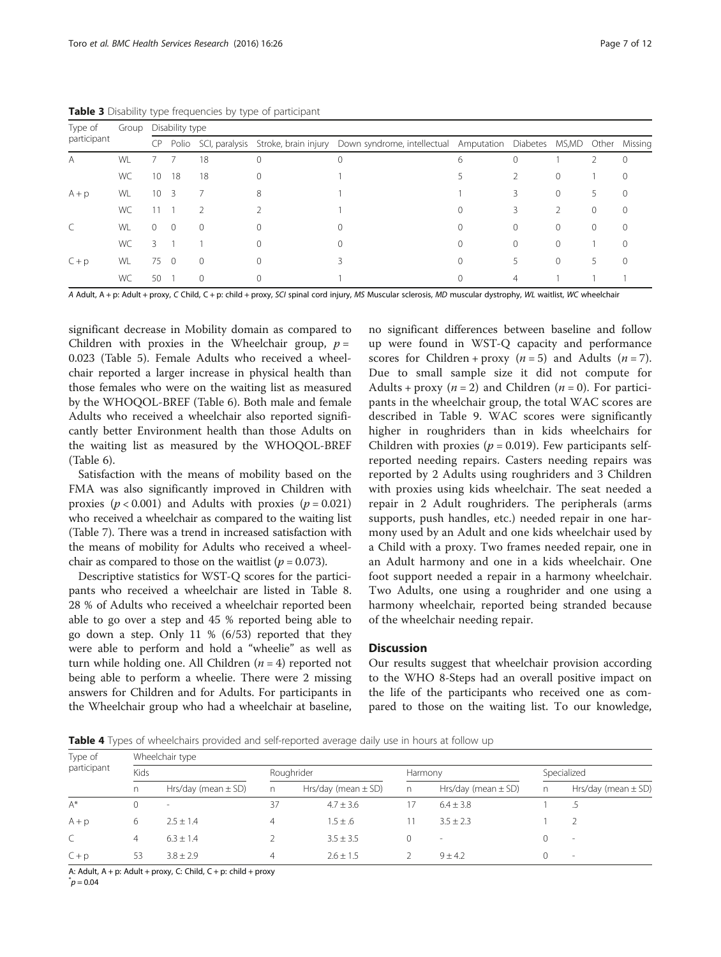| Type of                           | Group     |                                     | Disability type                                       |               |          |  |             |          |                |          |          |  |  |  |  |
|-----------------------------------|-----------|-------------------------------------|-------------------------------------------------------|---------------|----------|--|-------------|----------|----------------|----------|----------|--|--|--|--|
| participant<br><b>CP</b><br>Polio |           | SCI, paralysis Stroke, brain injury | Down syndrome, intellectual Amputation Diabetes MS,MD |               |          |  | Other       | Missing  |                |          |          |  |  |  |  |
| A                                 | WL        |                                     |                                                       | 18            | $\Omega$ |  | 6           |          |                |          |          |  |  |  |  |
|                                   | WC        | 10 <sup>°</sup>                     | -18                                                   | 18            | $\Omega$ |  |             | 2        | $\Omega$       |          |          |  |  |  |  |
| $A + p$                           | WL        | 10                                  | - 3                                                   |               | 8        |  |             | 3        | $\overline{0}$ | 5        | $\Omega$ |  |  |  |  |
|                                   | <b>WC</b> | 11                                  |                                                       | $\mathcal{L}$ |          |  | $\Omega$    | 3        | $\mathcal{P}$  | $\Omega$ | $\left($ |  |  |  |  |
|                                   | WL        | $\Omega$                            | $\overline{0}$                                        | $\Omega$      | $\Omega$ |  | $\Omega$    | $\Omega$ | $\mathbf{0}$   | $\Omega$ | $\Omega$ |  |  |  |  |
|                                   | <b>WC</b> | 3                                   |                                                       |               | $\Omega$ |  | $\Omega$    | $\Omega$ | $\mathbf{0}$   |          |          |  |  |  |  |
| $C + p$                           | WL        | 75 0                                |                                                       | $\Omega$      | $\Omega$ |  | $\mathbf 0$ |          | $\mathbf{0}$   |          | $\Omega$ |  |  |  |  |
|                                   | WC        | 50                                  |                                                       | $\Omega$      | 0        |  | $\Omega$    | 4        |                |          |          |  |  |  |  |

<span id="page-6-0"></span>Table 3 Disability type frequencies by type of participant

A Adult, A + p: Adult + proxy, C Child, C + p: child + proxy, SCI spinal cord injury, MS Muscular sclerosis, MD muscular dystrophy, WL waitlist, WC wheelchair

significant decrease in Mobility domain as compared to Children with proxies in the Wheelchair group,  $p =$ 0.023 (Table [5](#page-7-0)). Female Adults who received a wheelchair reported a larger increase in physical health than those females who were on the waiting list as measured by the WHOQOL-BREF (Table [6\)](#page-7-0). Both male and female Adults who received a wheelchair also reported significantly better Environment health than those Adults on the waiting list as measured by the WHOQOL-BREF (Table [6\)](#page-7-0).

Satisfaction with the means of mobility based on the FMA was also significantly improved in Children with proxies  $(p < 0.001)$  and Adults with proxies  $(p = 0.021)$ who received a wheelchair as compared to the waiting list (Table [7](#page-8-0)). There was a trend in increased satisfaction with the means of mobility for Adults who received a wheelchair as compared to those on the waitlist ( $p = 0.073$ ).

Descriptive statistics for WST-Q scores for the participants who received a wheelchair are listed in Table [8](#page-8-0). 28 % of Adults who received a wheelchair reported been able to go over a step and 45 % reported being able to go down a step. Only 11 % (6/53) reported that they were able to perform and hold a "wheelie" as well as turn while holding one. All Children  $(n = 4)$  reported not being able to perform a wheelie. There were 2 missing answers for Children and for Adults. For participants in the Wheelchair group who had a wheelchair at baseline, no significant differences between baseline and follow up were found in WST-Q capacity and performance scores for Children + proxy  $(n = 5)$  and Adults  $(n = 7)$ . Due to small sample size it did not compute for Adults + proxy ( $n = 2$ ) and Children ( $n = 0$ ). For participants in the wheelchair group, the total WAC scores are described in Table [9](#page-9-0). WAC scores were significantly higher in roughriders than in kids wheelchairs for Children with proxies ( $p = 0.019$ ). Few participants selfreported needing repairs. Casters needing repairs was reported by 2 Adults using roughriders and 3 Children with proxies using kids wheelchair. The seat needed a repair in 2 Adult roughriders. The peripherals (arms supports, push handles, etc.) needed repair in one harmony used by an Adult and one kids wheelchair used by a Child with a proxy. Two frames needed repair, one in an Adult harmony and one in a kids wheelchair. One foot support needed a repair in a harmony wheelchair. Two Adults, one using a roughrider and one using a harmony wheelchair, reported being stranded because of the wheelchair needing repair.

## **Discussion**

Our results suggest that wheelchair provision according to the WHO 8-Steps had an overall positive impact on the life of the participants who received one as compared to those on the waiting list. To our knowledge,

Table 4 Types of wheelchairs provided and self-reported average daily use in hours at follow up

| Type of<br>participant |                | Wheelchair type         |    |                         |    |                         |             |                          |  |  |  |  |  |
|------------------------|----------------|-------------------------|----|-------------------------|----|-------------------------|-------------|--------------------------|--|--|--|--|--|
|                        | <b>Kids</b>    |                         |    | Roughrider              |    | Harmony                 | Specialized |                          |  |  |  |  |  |
|                        | n.             | Hrs/day (mean $\pm$ SD) | n  | Hrs/day (mean $\pm$ SD) | n  | Hrs/day (mean $\pm$ SD) | n.          | Hrs/day (mean $\pm$ SD)  |  |  |  |  |  |
| $A^*$                  | $\Omega$       | $\sim$                  | 37 | $4.7 + 3.6$             | 17 | $6.4 \pm 3.8$           |             |                          |  |  |  |  |  |
| $A + p$                | 6              | $2.5 \pm 1.4$           | 4  | $1.5 \pm .6$            |    | $3.5 \pm 2.3$           |             |                          |  |  |  |  |  |
|                        | $\overline{4}$ | $6.3 \pm 1.4$           |    | $3.5 \pm 3.5$           |    | $\sim$                  |             | $\overline{\phantom{a}}$ |  |  |  |  |  |
| $C + p$                | 53             | $3.8 \pm 2.9$           | 4  | $2.6 \pm 1.5$           |    | $9 + 4.2$               |             | $\overline{\phantom{a}}$ |  |  |  |  |  |

A: Adult, A + p: Adult + proxy, C: Child, C + p: child + proxy

 $p = 0.04$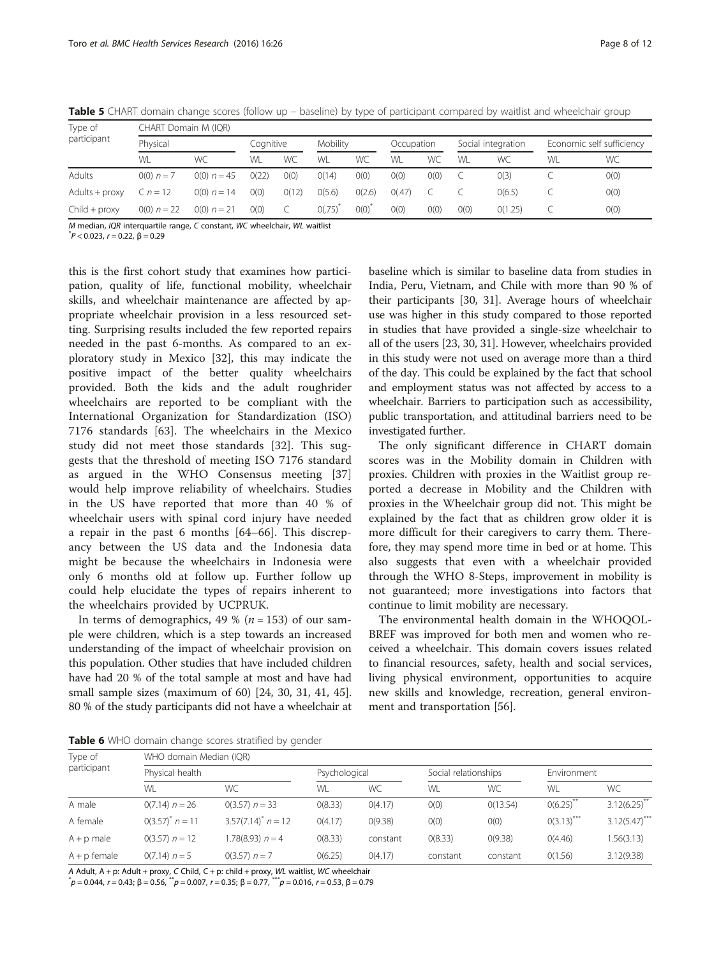| Type of<br>participant |               | CHART Domain M (IQR) |           |       |        |          |        |            |      |                    |           |                           |  |  |
|------------------------|---------------|----------------------|-----------|-------|--------|----------|--------|------------|------|--------------------|-----------|---------------------------|--|--|
|                        | Physical      |                      | Coanitive |       |        | Mobility |        | Occupation |      | Social integration |           | Economic self sufficiency |  |  |
|                        | WI            | WC                   | WL        | WC    | WI     | WC       | WL     | WC         | WI   | WC                 | <b>WL</b> | WC                        |  |  |
| Adults                 | $0(0) n = 7$  | $0(0) n = 45$        | 0(22)     | O(0)  | 0(14)  | O(0)     | O(0)   | O(0)       |      | O(3)               |           | O(0)                      |  |  |
| $A$ dults + proxy      | $C_n = 12$    | $0(0) n = 14$        | O(0)      | 0(12) | 0(5.6) | O(2.6)   | O(.47) |            |      | 0(6.5)             |           | O(0)                      |  |  |
| $Child + provy$        | $0(0) n = 22$ | $0(0) n = 21$        | O(0)      |       | 0(.75) | O(0)     | O(0)   | O(0)       | O(0) | 0(1.25)            |           | O(0)                      |  |  |

<span id="page-7-0"></span>Table 5 CHART domain change scores (follow up – baseline) by type of participant compared by waitlist and wheelchair group

<sup>M</sup> median, IQR interquartile range, <sup>C</sup> constant, WC wheelchair, WL waitlist \*

 $^*P$  < 0.023, r = 0.22,  $\beta$  = 0.29

this is the first cohort study that examines how participation, quality of life, functional mobility, wheelchair skills, and wheelchair maintenance are affected by appropriate wheelchair provision in a less resourced setting. Surprising results included the few reported repairs needed in the past 6-months. As compared to an exploratory study in Mexico [[32\]](#page-10-0), this may indicate the positive impact of the better quality wheelchairs provided. Both the kids and the adult roughrider wheelchairs are reported to be compliant with the International Organization for Standardization (ISO) 7176 standards [[63\]](#page-11-0). The wheelchairs in the Mexico study did not meet those standards [\[32](#page-10-0)]. This suggests that the threshold of meeting ISO 7176 standard as argued in the WHO Consensus meeting [\[37](#page-10-0)] would help improve reliability of wheelchairs. Studies in the US have reported that more than 40 % of wheelchair users with spinal cord injury have needed a repair in the past 6 months [\[64](#page-11-0)–[66](#page-11-0)]. This discrepancy between the US data and the Indonesia data might be because the wheelchairs in Indonesia were only 6 months old at follow up. Further follow up could help elucidate the types of repairs inherent to the wheelchairs provided by UCPRUK.

In terms of demographics, 49 % ( $n = 153$ ) of our sample were children, which is a step towards an increased understanding of the impact of wheelchair provision on this population. Other studies that have included children have had 20 % of the total sample at most and have had small sample sizes (maximum of 60) [\[24, 30](#page-10-0), [31](#page-10-0), [41, 45](#page-10-0)]. 80 % of the study participants did not have a wheelchair at

baseline which is similar to baseline data from studies in India, Peru, Vietnam, and Chile with more than 90 % of their participants [[30, 31\]](#page-10-0). Average hours of wheelchair use was higher in this study compared to those reported in studies that have provided a single-size wheelchair to all of the users [\[23, 30](#page-10-0), [31](#page-10-0)]. However, wheelchairs provided in this study were not used on average more than a third of the day. This could be explained by the fact that school and employment status was not affected by access to a wheelchair. Barriers to participation such as accessibility, public transportation, and attitudinal barriers need to be investigated further.

The only significant difference in CHART domain scores was in the Mobility domain in Children with proxies. Children with proxies in the Waitlist group reported a decrease in Mobility and the Children with proxies in the Wheelchair group did not. This might be explained by the fact that as children grow older it is more difficult for their caregivers to carry them. Therefore, they may spend more time in bed or at home. This also suggests that even with a wheelchair provided through the WHO 8-Steps, improvement in mobility is not guaranteed; more investigations into factors that continue to limit mobility are necessary.

The environmental health domain in the WHOQOL-BREF was improved for both men and women who received a wheelchair. This domain covers issues related to financial resources, safety, health and social services, living physical environment, opportunities to acquire new skills and knowledge, recreation, general environment and transportation [\[56\]](#page-10-0).

Table 6 WHO domain change scores stratified by gender

| Type of<br>participant |                      | WHO domain Median (IQR) |         |          |          |                      |                         |                  |  |  |  |  |  |
|------------------------|----------------------|-------------------------|---------|----------|----------|----------------------|-------------------------|------------------|--|--|--|--|--|
|                        | Physical health      |                         |         |          |          | Social relationships |                         | Environment      |  |  |  |  |  |
|                        | WI                   | <b>WC</b>               | WI      | WC       | WI       | WC                   | WL                      | WC               |  |  |  |  |  |
| A male                 | $0(7.14) n = 26$     | $0(3.57) n = 33$        | O(8.33) | 0(4.17)  | O(0)     | 0(13.54)             | $0(6.25)$ <sup>**</sup> | $3.12(6.25)$ **  |  |  |  |  |  |
| A female               | $(0.357)^{*}$ n = 11 | $3.57(7.14)^{*}$ n = 12 | 0(4.17) | 0(9.38)  | O(0)     | O(0)                 | $0(3.13)$ ***           | $3.12(5.47)$ *** |  |  |  |  |  |
| $A + p$ male           | $0(3.57) n = 12$     | $.78(8.93) n = 4$       | O(8.33) | constant | O(8.33)  | 0(9.38)              | 0(4.46)                 | 1.56(3.13)       |  |  |  |  |  |
| $A + p$ female         | $0(7.14) n = 5$      | $0(3.57) n = 7$         | 0(6.25) | 0(4.17)  | constant | constant             | 0(1.56)                 | 3.12(9.38)       |  |  |  |  |  |

A Adult,  $A + p$ : Adult + proxy, C Child, C + p: child + proxy, WL waitlist, WC wheelchair

 $\hat{}~p=$  0.044, r = 0.43; β = 0.56,  $\hat{}~$ r $p=$  0.007, r = 0.35; β = 0.77,  $\hat{}$   $\hat{}$   $\hat{}$   $\hat{}$   $\hat{}$   $\hat{}$   $\hat{}$   $\hat{}$   $\hat{}$   $\hat{}$   $\hat{}$   $\hat{}$   $\hat{}$   $\hat{}$   $\hat{}$   $\hat{}$   $\hat{}$   $\hat{}$   $\hat{}$   $\hat{}$   $\hat{}$   $\hat{}$   $\hat{}$   $\hat{}$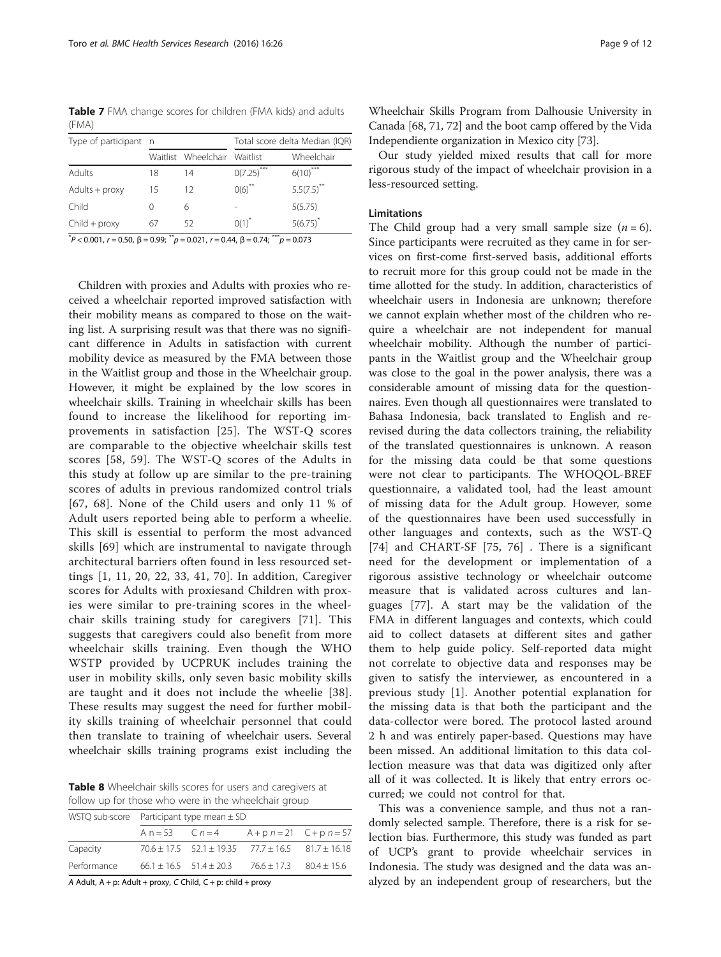<span id="page-8-0"></span>Table 7 FMA change scores for children (FMA kids) and adults (FMA)

| Type of participant n |    |                              | Total score delta Median (IQR) |                          |  |  |  |
|-----------------------|----|------------------------------|--------------------------------|--------------------------|--|--|--|
|                       |    | Waitlist Wheelchair Waitlist |                                | Wheelchair               |  |  |  |
| Adults                | 18 | 14                           | $0(7.25)$ ***                  | $6(10)$ ***              |  |  |  |
| $A$ dults + proxy     | 15 | 12                           | $0(6)$ <sup>**</sup>           | $5.5(7.5)$ <sup>**</sup> |  |  |  |
| Child                 | 0  | 6                            |                                | 5(5.75)                  |  |  |  |
| $Child + proxy$       | 67 | 52                           | $0(1)^{n}$                     | $5(6.75)^{*}$            |  |  |  |

 $^*P$  < 0.001, r = 0.50, β = 0.99;  $^{**}p$  = 0.021, r = 0.44, β = 0.74;  $^{***}p$  = 0.073

Children with proxies and Adults with proxies who received a wheelchair reported improved satisfaction with their mobility means as compared to those on the waiting list. A surprising result was that there was no significant difference in Adults in satisfaction with current mobility device as measured by the FMA between those in the Waitlist group and those in the Wheelchair group. However, it might be explained by the low scores in wheelchair skills. Training in wheelchair skills has been found to increase the likelihood for reporting improvements in satisfaction [\[25\]](#page-10-0). The WST-Q scores are comparable to the objective wheelchair skills test scores [[58](#page-10-0), [59](#page-10-0)]. The WST-Q scores of the Adults in this study at follow up are similar to the pre-training scores of adults in previous randomized control trials [[67](#page-11-0), [68\]](#page-11-0). None of the Child users and only 11 % of Adult users reported being able to perform a wheelie. This skill is essential to perform the most advanced skills [[69](#page-11-0)] which are instrumental to navigate through architectural barriers often found in less resourced settings [\[1](#page-9-0), [11,](#page-9-0) [20, 22](#page-10-0), [33](#page-10-0), [41,](#page-10-0) [70\]](#page-11-0). In addition, Caregiver scores for Adults with proxiesand Children with proxies were similar to pre-training scores in the wheelchair skills training study for caregivers [[71](#page-11-0)]. This suggests that caregivers could also benefit from more wheelchair skills training. Even though the WHO WSTP provided by UCPRUK includes training the user in mobility skills, only seven basic mobility skills are taught and it does not include the wheelie [[38](#page-10-0)]. These results may suggest the need for further mobility skills training of wheelchair personnel that could then translate to training of wheelchair users. Several wheelchair skills training programs exist including the

Table 8 Wheelchair skills scores for users and caregivers at follow up for those who were in the wheelchair group

| WSTO sub-score | Participant type mean $\pm$ SD |                                                                   |  |  |  |  |  |
|----------------|--------------------------------|-------------------------------------------------------------------|--|--|--|--|--|
|                | A n = 53 $C n = 4$             | $A + p n = 21$ $C + p n = 57$                                     |  |  |  |  |  |
| Capacity       |                                | $70.6 \pm 17.5$ 52.1 $\pm$ 19.35 77.7 $\pm$ 16.5 81.7 $\pm$ 16.18 |  |  |  |  |  |
| Performance    |                                | $66.1 + 16.5$ $51.4 + 20.3$ $76.6 + 17.3$ $80.4 + 15.6$           |  |  |  |  |  |
|                | _ _ _ _                        |                                                                   |  |  |  |  |  |

A Adult, A + p: Adult + proxy, C Child, C + p: child + proxy

Wheelchair Skills Program from Dalhousie University in Canada [\[68](#page-11-0), [71](#page-11-0), [72\]](#page-11-0) and the boot camp offered by the Vida Independiente organization in Mexico city [\[73\]](#page-11-0).

Our study yielded mixed results that call for more rigorous study of the impact of wheelchair provision in a less-resourced setting.

## Limitations

The Child group had a very small sample size  $(n = 6)$ . Since participants were recruited as they came in for services on first-come first-served basis, additional efforts to recruit more for this group could not be made in the time allotted for the study. In addition, characteristics of wheelchair users in Indonesia are unknown; therefore we cannot explain whether most of the children who require a wheelchair are not independent for manual wheelchair mobility. Although the number of participants in the Waitlist group and the Wheelchair group was close to the goal in the power analysis, there was a considerable amount of missing data for the questionnaires. Even though all questionnaires were translated to Bahasa Indonesia, back translated to English and rerevised during the data collectors training, the reliability of the translated questionnaires is unknown. A reason for the missing data could be that some questions were not clear to participants. The WHOQOL-BREF questionnaire, a validated tool, had the least amount of missing data for the Adult group. However, some of the questionnaires have been used successfully in other languages and contexts, such as the WST-Q [[74\]](#page-11-0) and CHART-SF [\[75](#page-11-0), [76](#page-11-0)] . There is a significant need for the development or implementation of a rigorous assistive technology or wheelchair outcome measure that is validated across cultures and languages [\[77](#page-11-0)]. A start may be the validation of the FMA in different languages and contexts, which could aid to collect datasets at different sites and gather them to help guide policy. Self-reported data might not correlate to objective data and responses may be given to satisfy the interviewer, as encountered in a previous study [[1\]](#page-9-0). Another potential explanation for the missing data is that both the participant and the data-collector were bored. The protocol lasted around 2 h and was entirely paper-based. Questions may have been missed. An additional limitation to this data collection measure was that data was digitized only after all of it was collected. It is likely that entry errors occurred; we could not control for that.

This was a convenience sample, and thus not a randomly selected sample. Therefore, there is a risk for selection bias. Furthermore, this study was funded as part of UCP's grant to provide wheelchair services in Indonesia. The study was designed and the data was analyzed by an independent group of researchers, but the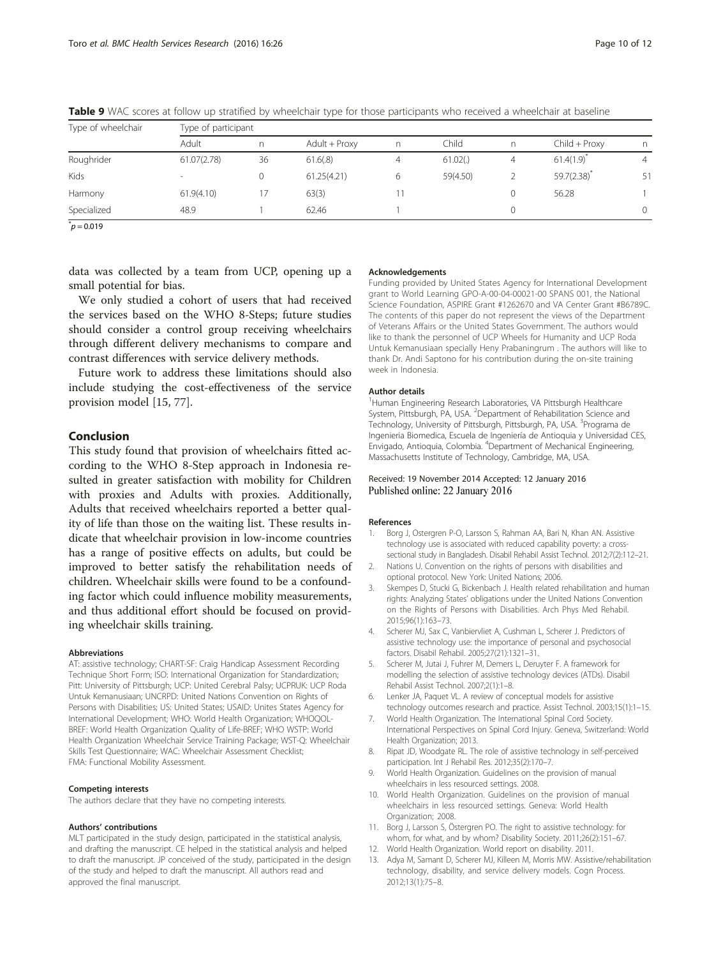| Type of wheelchair |             | Type of participant |               |                |          |   |                |                |  |  |  |  |  |
|--------------------|-------------|---------------------|---------------|----------------|----------|---|----------------|----------------|--|--|--|--|--|
|                    | Adult       | n                   | Adult + Proxy | n              | Child    | n | Child + Proxy  | n              |  |  |  |  |  |
| Roughrider         | 61.07(2.78) | 36                  | 61.6(.8)      | $\overline{4}$ | 61.02()  | 4 | 61.4(1.9)      | $\overline{4}$ |  |  |  |  |  |
| Kids               |             |                     | 61.25(4.21)   | 6              | 59(4.50) |   | $59.7(2.38)^*$ | 51             |  |  |  |  |  |
| Harmony            | 61.9(4.10)  | 17                  | 63(3)         |                |          | 0 | 56.28          |                |  |  |  |  |  |
| Specialized        | 48.9        |                     | 62.46         |                |          |   |                | $\circ$        |  |  |  |  |  |
| $p = 0.019$        |             |                     |               |                |          |   |                |                |  |  |  |  |  |

<span id="page-9-0"></span>Table 9 WAC scores at follow up stratified by wheelchair type for those participants who received a wheelchair at baseline

data was collected by a team from UCP, opening up a small potential for bias.

We only studied a cohort of users that had received the services based on the WHO 8-Steps; future studies should consider a control group receiving wheelchairs through different delivery mechanisms to compare and contrast differences with service delivery methods.

Future work to address these limitations should also include studying the cost-effectiveness of the service provision model [\[15,](#page-10-0) [77\]](#page-11-0).

#### Conclusion

This study found that provision of wheelchairs fitted according to the WHO 8-Step approach in Indonesia resulted in greater satisfaction with mobility for Children with proxies and Adults with proxies. Additionally, Adults that received wheelchairs reported a better quality of life than those on the waiting list. These results indicate that wheelchair provision in low-income countries has a range of positive effects on adults, but could be improved to better satisfy the rehabilitation needs of children. Wheelchair skills were found to be a confounding factor which could influence mobility measurements, and thus additional effort should be focused on providing wheelchair skills training.

#### Abbreviations

AT: assistive technology; CHART-SF: Craig Handicap Assessment Recording Technique Short Form; ISO: International Organization for Standardization; Pitt: University of Pittsburgh; UCP: United Cerebral Palsy; UCPRUK: UCP Roda Untuk Kemanusiaan; UNCRPD: United Nations Convention on Rights of Persons with Disabilities; US: United States; USAID: Unites States Agency for International Development; WHO: World Health Organization; WHOQOL-BREF: World Health Organization Quality of Life-BREF; WHO WSTP: World Health Organization Wheelchair Service Training Package; WST-Q: Wheelchair Skills Test Questionnaire; WAC: Wheelchair Assessment Checklist; FMA: Functional Mobility Assessment.

#### Competing interests

The authors declare that they have no competing interests.

#### Authors' contributions

MLT participated in the study design, participated in the statistical analysis, and drafting the manuscript. CE helped in the statistical analysis and helped to draft the manuscript. JP conceived of the study, participated in the design of the study and helped to draft the manuscript. All authors read and approved the final manuscript.

#### Acknowledgements

Funding provided by United States Agency for International Development grant to World Learning GPO-A-00-04-00021-00 SPANS 001, the National Science Foundation, ASPIRE Grant #1262670 and VA Center Grant #B6789C. The contents of this paper do not represent the views of the Department of Veterans Affairs or the United States Government. The authors would like to thank the personnel of UCP Wheels for Humanity and UCP Roda Untuk Kemanusiaan specially Heny Prabaningrum . The authors will like to thank Dr. Andi Saptono for his contribution during the on-site training week in Indonesia.

#### Author details

<sup>1</sup>Human Engineering Research Laboratories, VA Pittsburgh Healthcare System, Pittsburgh, PA, USA. <sup>2</sup> Department of Rehabilitation Science and Technology, University of Pittsburgh, Pittsburgh, PA, USA. <sup>3</sup>Programa de Ingenieria Biomedica, Escuela de Ingeniería de Antioquia y Universidad CES, Envigado, Antioquia, Colombia. <sup>4</sup> Department of Mechanical Engineering, Massachusetts Institute of Technology, Cambridge, MA, USA.

#### Received: 19 November 2014 Accepted: 12 January 2016 Published online: 22 January 2016

#### References

- 1. Borg J, Ostergren P-O, Larsson S, Rahman AA, Bari N, Khan AN. Assistive technology use is associated with reduced capability poverty: a crosssectional study in Bangladesh. Disabil Rehabil Assist Technol. 2012;7(2):112–21.
- 2. Nations U. Convention on the rights of persons with disabilities and optional protocol. New York: United Nations; 2006.
- 3. Skempes D, Stucki G, Bickenbach J. Health related rehabilitation and human rights: Analyzing States' obligations under the United Nations Convention on the Rights of Persons with Disabilities. Arch Phys Med Rehabil. 2015;96(1):163–73.
- Scherer MJ, Sax C, Vanbiervliet A, Cushman L, Scherer J. Predictors of assistive technology use: the importance of personal and psychosocial factors. Disabil Rehabil. 2005;27(21):1321–31.
- 5. Scherer M, Jutai J, Fuhrer M, Demers L, Deruyter F. A framework for modelling the selection of assistive technology devices (ATDs). Disabil Rehabil Assist Technol. 2007;2(1):1–8.
- 6. Lenker JA, Paquet VL. A review of conceptual models for assistive technology outcomes research and practice. Assist Technol. 2003;15(1):1–15.
- 7. World Health Organization. The International Spinal Cord Society. International Perspectives on Spinal Cord Injury. Geneva, Switzerland: World Health Organization; 2013.
- 8. Ripat JD, Woodgate RL. The role of assistive technology in self-perceived participation. Int J Rehabil Res. 2012;35(2):170–7.
- 9. World Health Organization. Guidelines on the provision of manual wheelchairs in less resourced settings. 2008.
- 10. World Health Organization. Guidelines on the provision of manual wheelchairs in less resourced settings. Geneva: World Health Organization; 2008.
- 11. Borg J, Larsson S, Östergren PO. The right to assistive technology: for whom, for what, and by whom? Disability Society. 2011;26(2):151–67.
- 12. World Health Organization. World report on disability. 2011.
- 13. Adya M, Samant D, Scherer MJ, Killeen M, Morris MW. Assistive/rehabilitation technology, disability, and service delivery models. Cogn Process. 2012;13(1):75–8.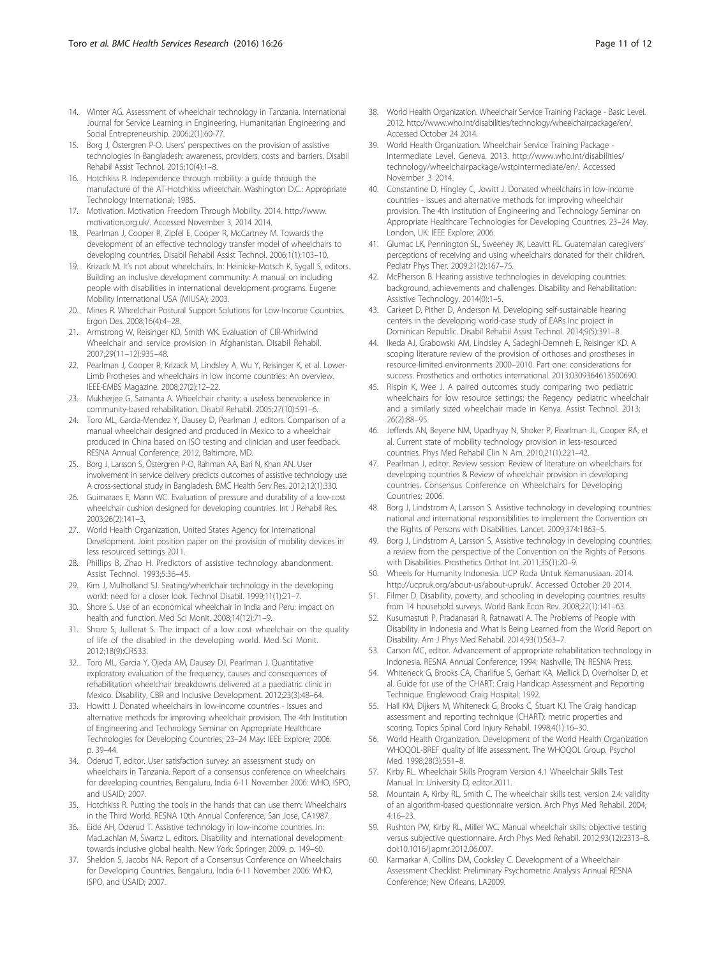- <span id="page-10-0"></span>14. Winter AG. Assessment of wheelchair technology in Tanzania. International Journal for Service Learning in Engineering, Humanitarian Engineering and Social Entrepreneurship. 2006;2(1):60-77.
- 15. Borg J, Östergren P-O. Users' perspectives on the provision of assistive technologies in Bangladesh: awareness, providers, costs and barriers. Disabil Rehabil Assist Technol. 2015;10(4):1–8.
- 16. Hotchkiss R. Independence through mobility: a guide through the manufacture of the AT-Hotchkiss wheelchair. Washington D.C.: Appropriate Technology International; 1985.
- 17. Motivation. Motivation Freedom Through Mobility. 2014. [http://www.](http://www.motivation.org.uk/) [motivation.org.uk/.](http://www.motivation.org.uk/) Accessed November 3, 2014 2014.
- 18. Pearlman J, Cooper R, Zipfel E, Cooper R, McCartney M. Towards the development of an effective technology transfer model of wheelchairs to developing countries. Disabil Rehabil Assist Technol. 2006;1(1):103–10.
- 19. Krizack M. It's not about wheelchairs. In: Heinicke-Motsch K, Sygall S, editors. Building an inclusive development community: A manual on including people with disabilities in international development programs. Eugene: Mobility International USA (MIUSA); 2003.
- 20. Mines R. Wheelchair Postural Support Solutions for Low-Income Countries. Ergon Des. 2008;16(4):4–28.
- 21. Armstrong W, Reisinger KD, Smith WK. Evaluation of CIR-Whirlwind Wheelchair and service provision in Afghanistan. Disabil Rehabil. 2007;29(11–12):935–48.
- 22. Pearlman J, Cooper R, Krizack M, Lindsley A, Wu Y, Reisinger K, et al. Lower-Limb Protheses and wheelchairs in low income countries: An overview. IEEE-EMBS Magazine. 2008;27(2):12–22.
- 23. Mukherjee G, Samanta A. Wheelchair charity: a useless benevolence in community-based rehabilitation. Disabil Rehabil. 2005;27(10):591–6.
- 24. Toro ML, Garcia-Mendez Y, Dausey D, Pearlman J, editors. Comparison of a manual wheelchair designed and produced in Mexico to a wheelchair produced in China based on ISO testing and clinician and user feedback. RESNA Annual Conference; 2012; Baltimore, MD.
- 25. Borg J, Larsson S, Östergren P-O, Rahman AA, Bari N, Khan AN. User involvement in service delivery predicts outcomes of assistive technology use: A cross-sectional study in Bangladesh. BMC Health Serv Res. 2012;12(1):330.
- 26. Guimaraes E, Mann WC. Evaluation of pressure and durability of a low-cost wheelchair cushion designed for developing countries. Int J Rehabil Res. 2003;26(2):141–3.
- 27. World Health Organization, United States Agency for International Development. Joint position paper on the provision of mobility devices in less resourced settings 2011.
- 28. Phillips B, Zhao H. Predictors of assistive technology abandonment. Assist Technol. 1993;5:36–45.
- 29. Kim J, Mulholland SJ. Seating/wheelchair technology in the developing world: need for a closer look. Technol Disabil. 1999;11(1):21–7.
- 30. Shore S. Use of an economical wheelchair in India and Peru: impact on health and function. Med Sci Monit. 2008;14(12):71–9.
- 31. Shore S, Juillerat S. The impact of a low cost wheelchair on the quality of life of the disabled in the developing world. Med Sci Monit. 2012;18(9):CR533.
- 32. Toro ML, Garcia Y, Ojeda AM, Dausey DJ, Pearlman J. Quantitative exploratory evaluation of the frequency, causes and consequences of rehabilitation wheelchair breakdowns delivered at a paediatric clinic in Mexico. Disability, CBR and Inclusive Development. 2012;23(3):48–64.
- 33. Howitt J. Donated wheelchairs in low-income countries issues and alternative methods for improving wheelchair provision. The 4th Institution of Engineering and Technology Seminar on Appropriate Healthcare Technologies for Developing Countries; 23–24 May: IEEE Explore; 2006. p. 39–44.
- 34. Oderud T, editor. User satisfaction survey: an assessment study on wheelchairs in Tanzania. Report of a consensus conference on wheelchairs for developing countries, Bengaluru, India 6-11 November 2006: WHO, ISPO, and USAID; 2007.
- 35. Hotchkiss R. Putting the tools in the hands that can use them: Wheelchairs in the Third World. RESNA 10th Annual Conference; San Jose, CA1987.
- 36. Eide AH, Oderud T. Assistive technology in low-income countries. In: MacLachlan M, Swartz L, editors. Disability and international development: towards inclusive global health. New York: Springer; 2009. p. 149–60.
- 37. Sheldon S, Jacobs NA. Report of a Consensus Conference on Wheelchairs for Developing Countries. Bengaluru, India 6-11 November 2006: WHO, ISPO, and USAID; 2007.
- 38. World Health Organization. Wheelchair Service Training Package Basic Level. 2012.<http://www.who.int/disabilities/technology/wheelchairpackage/en/>. Accessed October 24 2014.
- 39. World Health Organization. Wheelchair Service Training Package Intermediate Level. Geneva. 2013. [http://www.who.int/disabilities/](http://www.who.int/disabilities/technology/wheelchairpackage/wstpintermediate/en/) [technology/wheelchairpackage/wstpintermediate/en/.](http://www.who.int/disabilities/technology/wheelchairpackage/wstpintermediate/en/) Accessed November 3 2014.
- 40. Constantine D, Hingley C, Jowitt J. Donated wheelchairs in low-income countries - issues and alternative methods for improving wheelchair provision. The 4th Institution of Engineering and Technology Seminar on Appropriate Healthcare Technologies for Developing Countries; 23–24 May. London, UK: IEEE Explore; 2006.
- 41. Glumac LK, Pennington SL, Sweeney JK, Leavitt RL. Guatemalan caregivers' perceptions of receiving and using wheelchairs donated for their children. Pediatr Phys Ther. 2009;21(2):167–75.
- 42. McPherson B. Hearing assistive technologies in developing countries: background, achievements and challenges. Disability and Rehabilitation: Assistive Technology. 2014(0):1–5.
- 43. Carkeet D, Pither D, Anderson M. Developing self-sustainable hearing centers in the developing world-case study of EARs Inc project in Dominican Republic. Disabil Rehabil Assist Technol. 2014;9(5):391–8.
- 44. Ikeda AJ, Grabowski AM, Lindsley A, Sadeghi-Demneh E, Reisinger KD. A scoping literature review of the provision of orthoses and prostheses in resource-limited environments 2000–2010. Part one: considerations for success. Prosthetics and orthotics international. 2013:0309364613500690.
- 45. Rispin K, Wee J. A paired outcomes study comparing two pediatric wheelchairs for low resource settings; the Regency pediatric wheelchair and a similarly sized wheelchair made in Kenya. Assist Technol. 2013; 26(2):88–95.
- 46. Jefferds AN, Beyene NM, Upadhyay N, Shoker P, Pearlman JL, Cooper RA, et al. Current state of mobility technology provision in less-resourced countries. Phys Med Rehabil Clin N Am. 2010;21(1):221–42.
- 47. Pearlman J, editor. Review session: Review of literature on wheelchairs for developing countries & Review of wheelchair provision in developing countries. Consensus Conference on Wheelchairs for Developing Countries; 2006.
- 48. Borg J, Lindstrom A, Larsson S. Assistive technology in developing countries: national and international responsibilities to implement the Convention on the Rights of Persons with Disabilities. Lancet. 2009;374:1863–5.
- 49. Borg J, Lindstrom A, Larsson S. Assistive technology in developing countries: a review from the perspective of the Convention on the Rights of Persons with Disabilities. Prosthetics Orthot Int. 2011;35(1):20–9.
- 50. Wheels for Humanity Indonesia. UCP Roda Untuk Kemanusiaan. 2014. <http://ucpruk.org/about-us/about-upruk/>. Accessed October 20 2014.
- 51. Filmer D. Disability, poverty, and schooling in developing countries: results from 14 household surveys. World Bank Econ Rev. 2008;22(1):141–63.
- 52. Kusumastuti P, Pradanasari R, Ratnawati A. The Problems of People with Disability in Indonesia and What Is Being Learned from the World Report on Disability. Am J Phys Med Rehabil. 2014;93(1):S63–7.
- 53. Carson MC, editor. Advancement of appropriate rehabilitation technology in Indonesia. RESNA Annual Conference; 1994; Nashville, TN: RESNA Press.
- 54. Whiteneck G, Brooks CA, Charlifue S, Gerhart KA, Mellick D, Overholser D, et al. Guide for use of the CHART: Craig Handicap Assessment and Reporting Technique. Englewood: Craig Hospital; 1992.
- 55. Hall KM, Dijkers M, Whiteneck G, Brooks C, Stuart KJ. The Craig handicap assessment and reporting technique (CHART): metric properties and scoring. Topics Spinal Cord Injury Rehabil. 1998;4(1):16–30.
- 56. World Health Organization. Development of the World Health Organization WHOQOL-BREF quality of life assessment. The WHOQOL Group. Psychol Med. 1998;28(3):551–8.
- 57. Kirby RL. Wheelchair Skills Program Version 4.1 Wheelchair Skills Test Manual. In: University D, editor.2011.
- 58. Mountain A, Kirby RL, Smith C. The wheelchair skills test, version 2.4: validity of an algorithm-based questionnaire version. Arch Phys Med Rehabil. 2004; 4:16–23.
- 59. Rushton PW, Kirby RL, Miller WC. Manual wheelchair skills: objective testing versus subjective questionnaire. Arch Phys Med Rehabil. 2012;93(12):2313–8. doi[:10.1016/j.apmr.2012.06.007.](http://dx.doi.org/10.1016/j.apmr.2012.06.007)
- 60. Karmarkar A, Collins DM, Cooksley C. Development of a Wheelchair Assessment Checklist: Preliminary Psychometric Analysis Annual RESNA Conference; New Orleans, LA2009.